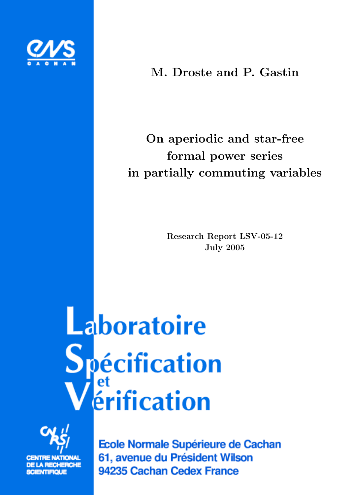

## M. Droste and P. Gastin

# On aperiodic and star-free formal power series in partially commuting variables

Research Report LSV-05-12 July 2005

Laboratoire **Spécification**<br>Vérification



**SCIENTIFIQUE** 

Ecole Normale Supérieure de Cachan 61, avenue du Président Wilson 94235 Cachan Cedex France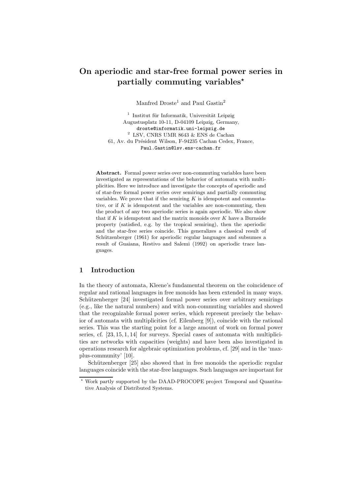### On aperiodic and star-free formal power series in partially commuting variables<sup> $\star$ </sup>

Manfred  $D$ roste<sup>1</sup> and Paul Gastin<sup>2</sup>

 $1$  Institut für Informatik, Universität Leipzig Augustusplatz 10-11, D-04109 Leipzig, Germany, droste@informatik.uni-leipzig.de 2 LSV, CNRS UMR 8643  $\&$  ENS de Cachan 61, Av. du Président Wilson, F-94235 Cachan Cedex, France, Paul.Gastin@lsv.ens-cachan.fr

Abstract. Formal power series over non-commuting variables have been investigated as representations of the behavior of automata with multiplicities. Here we introduce and investigate the concepts of aperiodic and of star-free formal power series over semirings and partially commuting variables. We prove that if the semiring  $K$  is idempotent and commutative, or if  $K$  is idempotent and the variables are non-commuting, then the product of any two aperiodic series is again aperiodic. We also show that if  $K$  is idempotent and the matrix monoids over  $K$  have a Burnside property (satisfied, e.g. by the tropical semiring), then the aperiodic and the star-free series coincide. This generalizes a classical result of Schützenberger (1961) for aperiodic regular languages and subsumes a result of Guaiana, Restivo and Salemi (1992) on aperiodic trace languages.

#### 1 Introduction

In the theory of automata, Kleene's fundamental theorem on the coincidence of regular and rational languages in free monoids has been extended in many ways. Schützenberger [24] investigated formal power series over arbitrary semirings (e.g., like the natural numbers) and with non-commuting variables and showed that the recognizable formal power series, which represent precisely the behavior of automata with multiplicities (cf. Eilenberg [9]), coincide with the rational series. This was the starting point for a large amount of work on formal power series, cf.  $[23, 15, 1, 14]$  for surveys. Special cases of automata with multiplicities are networks with capacities (weights) and have been also investigated in operations research for algebraic optimization problems, cf. [29] and in the 'maxplus-community' [10].

Schützenberger [25] also showed that in free monoids the aperiodic regular languages coincide with the star-free languages. Such languages are important for

<sup>!</sup> Work partly supported by the DAAD-PROCOPE project Temporal and Quantitative Analysis of Distributed Systems.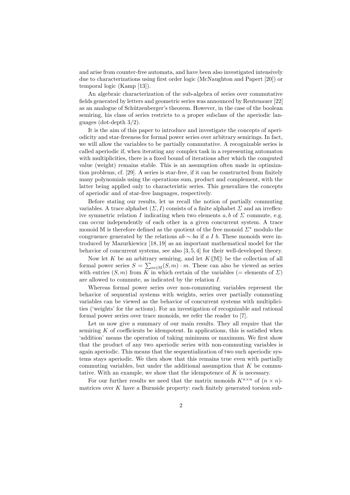and arise from counter-free automata, and have been also investigated intensively due to characterizations using first order logic (McNaughton and Papert [20]) or temporal logic (Kamp [13]).

An algebraic characterization of the sub-algebra of series over commutative fields generated by letters and geometric series was announced by Reutenauer [22] as an analogue of Schützenberger's theorem. However, in the case of the boolean semiring, his class of series restricts to a proper subclass of the aperiodic languages (dot-depth 3/2).

It is the aim of this paper to introduce and investigate the concepts of aperiodicity and star-freeness for formal power series over arbitrary semirings. In fact, we will allow the variables to be partially commutative. A recognizable series is called aperiodic if, when iterating any complex task in a representing automaton with multiplicities, there is a fixed bound of iterations after which the computed value (weight) remains stable. This is an assumption often made in optimization problems, cf. [29]. A series is star-free, if it can be constructed from finitely many polynomials using the operations sum, product and complement, with the latter being applied only to characteristic series. This generalizes the concepts of aperiodic and of star-free languages, respectively.

Before stating our results, let us recall the notion of partially commuting variables. A trace alphabet  $(\Sigma, I)$  consists of a finite alphabet  $\Sigma$  and an irreflexive symmetric relation I indicating when two elements  $a, b$  of  $\Sigma$  commute, e.g. can occur independently of each other in a given concurrent system. A trace monoid M is therefore defined as the quotient of the free monoid  $\Sigma^*$  modulo the congruence generated by the relations  $ab \sim ba$  if a I b. These monoids were introduced by Mazurkiewicz [18, 19] as an important mathematical model for the behavior of concurrent systems, see also [3, 5, 4] for their well-developed theory.

Now let K be an arbitrary semiring, and let  $K(\mathbb{M})$  be the collection of all formal power series  $S = \sum_{m \in \mathbb{M}} (S, m) \cdot m$ . These can also be viewed as series with entries  $(S, m)$  from K in which certain of the variables (= elements of  $\Sigma$ ) are allowed to commute, as indicated by the relation I.

Whereas formal power series over non-commuting variables represent the behavior of sequential systems with weights, series over partially commuting variables can be viewed as the behavior of concurrent systems with multiplicities ('weights' for the actions). For an investigation of recognizable and rational formal power series over trace monoids, we refer the reader to [7].

Let us now give a summary of our main results. They all require that the semiring  $K$  of coefficients be idempotent. In applications, this is satisfied when 'addition' means the operation of taking minimum or maximum. We first show that the product of any two aperiodic series with non-commuting variables is again aperiodic. This means that the sequentialization of two such aperiodic systems stays aperiodic. We then show that this remains true even with partially commuting variables, but under the additional assumption that  $K$  be commutative. With an example, we show that the idempotence of  $K$  is necessary.

For our further results we need that the matrix monoids  $K^{n\times n}$  of  $(n \times n)$ matrices over  $K$  have a Burnside property: each finitely generated torsion sub-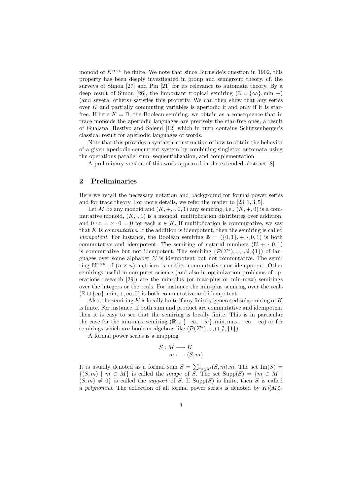monoid of  $K^{n \times n}$  be finite. We note that since Burnside's question in 1902, this property has been deeply investigated in group and semigroup theory, cf. the surveys of Simon [27] and Pin [21] for its relevance to automata theory. By a deep result of Simon [26], the important tropical semiring ( $\mathbb{N} \cup {\infty}$ , min, +) (and several others) satisfies this property. We can then show that any series over  $K$  and partially commuting variables is aperiodic if and only if it is starfree. If here  $K = \mathbb{B}$ , the Boolean semiring, we obtain as a consequence that in trace monoids the aperiodic languages are precisely the star-free ones, a result of Guaiana, Restivo and Salemi [12] which in turn contains Schützenberger's classical result for aperiodic languages of words.

Note that this provides a syntactic construction of how to obtain the behavior of a given aperiodic concurrent system by combining singleton automata using the operations parallel sum, sequentialization, and complementation.

A preliminary version of this work appeared in the extended abstract [8].

#### 2 Preliminaries

Here we recall the necessary notation and background for formal power series and for trace theory. For more details, we refer the reader to [23, 1, 3, 5].

Let M be any monoid and  $(K, +, \cdot, 0, 1)$  any semiring, i.e.,  $(K, +, 0)$  is a commutative monoid,  $(K, \cdot, 1)$  is a monoid, multiplication distributes over addition, and  $0 \cdot x = x \cdot 0 = 0$  for each  $x \in K$ . If multiplication is commutative, we say that  $K$  is *commutative*. If the addition is idempotent, then the semiring is called *idempotent.* For instance, the Boolean semiring  $\mathbb{B} = (\{0, 1\}, +, \cdot, 0, 1)$  is both commutative and idempotent. The semiring of natural numbers  $(N, +, \cdot, 0, 1)$ is commutative but not idempotent. The semiring  $(\mathcal{P}(\Sigma^*), \cup, \cdot, \emptyset, \{1\})$  of languages over some alphabet  $\Sigma$  is idempotent but not commutative. The semiring  $\mathbb{N}^{n \times n}$  of  $(n \times n)$ -matrices is neither commutative nor idempotent. Other semirings useful in computer science (and also in optimization problems of operations research [29]) are the min-plus (or max-plus or min-max) semirings over the integers or the reals. For instance the min-plus semiring over the reals  $(\mathbb{R} \cup {\infty}, \min, +, \infty, 0)$  is both commutative and idempotent.

Also, the semiring K is locally finite if any finitely generated subsemiring of K is finite. For instance, if both sum and product are commutative and idempotent then it is easy to see that the semiring is locally finite. This is in particular the case for the min-max semiring ( $\mathbb{R} \cup \{-\infty, +\infty\}$ , min, max,  $+\infty, -\infty$ ) or for semirings which are boolean algebras like  $(\mathcal{P}(\Sigma^*), \cup, \cap, \emptyset, \{1\}).$ 

A formal power series is a mapping

$$
S: M \longrightarrow K
$$

$$
m \longmapsto (S, m)
$$

It is usually denoted as a formal sum  $S = \sum_{m \in M} (S, m) \cdot m$ . The set  $\text{Im}(S) =$  $\{(S,m) \mid m \in M\}$  is called the *image* of S. The set  $\text{Supp}(S) = \{m \in M \mid S\}$  $(S, m) \neq 0$  is called the *support* of S. If  $\text{Supp}(S)$  is finite, then S is called a polynomial. The collection of all formal power series is denoted by  $K\langle\langle M \rangle\rangle$ ,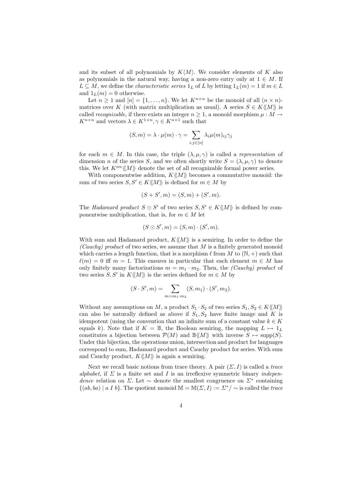and its subset of all polynomials by  $K\langle M \rangle$ . We consider elements of K also as polynomials in the natural way, having a non-zero entry only at  $1 \in M$ . If  $L \subseteq M$ , we define the *characteristic series*  $1_L$  of L by letting  $1_L(m) = 1$  if  $m \in L$ and  $1_L(m) = 0$  otherwise.

Let  $n > 1$  and  $[n] = \{1, \ldots, n\}$ . We let  $K^{n \times n}$  be the monoid of all  $(n \times n)$ matrices over K (with matrix multiplication as usual). A series  $S \in K \langle M \rangle$  is called *recognizable*, if there exists an integer  $n \geq 1$ , a monoid morphism  $\mu : M \to$  $K^{n\times n}$  and vectors  $\lambda \in K^{1\times n}, \gamma \in K^{n\times 1}$  such that

$$
(S,m) = \lambda \cdot \mu(m) \cdot \gamma = \sum_{i,j \in [n]} \lambda_i \mu(m)_{ij} \gamma_j
$$

for each  $m \in M$ . In this case, the triple  $(\lambda, \mu, \gamma)$  is called a *representation* of dimension n of the series S, and we often shortly write  $S = (\lambda, \mu, \gamma)$  to denote this. We let  $K^{\text{rec}}\langle\!\langle M \rangle\!\rangle$  denote the set of all recognizable formal power series.

With componentwise addition,  $K\langle\!\langle M \rangle\!\rangle$  becomes a commutative monoid: the sum of two series  $S, S' \in K\langle M \rangle$  is defined for  $m \in M$  by

$$
(S + S', m) = (S, m) + (S', m).
$$

The Hadamard product  $S \odot S'$  of two series  $S, S' \in K\langle\langle M \rangle\rangle$  is defined by componentwise multiplication, that is, for  $m \in M$  let

$$
(S \odot S', m) = (S, m) \cdot (S', m).
$$

With sum and Hadamard product,  $K\langle\!\langle M \rangle\!\rangle$  is a semiring. In order to define the (Cauchy) product of two series, we assume that  $M$  is a finitely generated monoid which carries a length function, that is a morphism  $\ell$  from  $M$  to  $(\mathbb{N}, +)$  such that  $\ell(m) = 0$  iff  $m = 1$ . This ensures in particular that each element  $m \in M$  has only finitely many factorizations  $m = m_1 \cdot m_2$ . Then, the *(Cauchy)* product of two series S, S' in  $K\langle\langle M\rangle\rangle$  is the series defined for  $m \in M$  by

$$
(S \cdot S', m) = \sum_{m=m_1 \cdot m_2} (S, m_1) \cdot (S', m_2).
$$

Without any assumptions on M, a product  $S_1 \cdot S_2$  of two series  $S_1, S_2 \in K(\langle M \rangle)$ can also be naturally defined as above if  $S_1, S_2$  have finite image and K is idempotent (using the convention that an infinite sum of a constant value  $k \in K$ equals k). Note that if  $K = \mathbb{B}$ , the Boolean semiring, the mapping  $L \mapsto 1_L$ constitutes a bijection between  $\mathcal{P}(M)$  and  $\mathbb{B}\langle\langle M\rangle\rangle$  with inverse  $S \mapsto \text{supp}(S)$ . Under this bijection, the operations union, intersection and product for languages correspond to sum, Hadamard product and Cauchy product for series. With sum and Cauchy product,  $K\langle\!\langle M \rangle\!\rangle$  is again a semiring.

Next we recall basic notions from trace theory. A pair  $(\Sigma, I)$  is called a trace alphabet, if  $\Sigma$  is a finite set and I is an irreflexive symmetric binary *indepen*dence relation on Σ. Let  $\sim$  denote the smallest congruence on  $\Sigma^*$  containing  $\{(ab, ba) \mid a I b\}$ . The quotient monoid  $\mathbb{M} = \mathbb{M}(\Sigma, I) := \Sigma^* / \sim$  is called the trace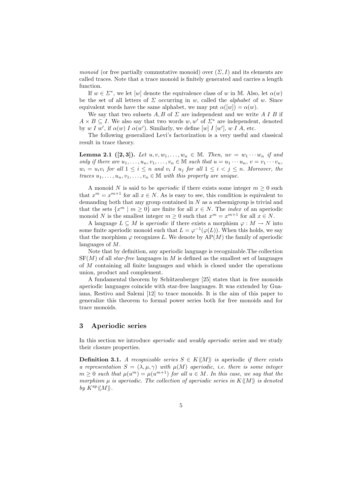*monoid* (or free partially commutative monoid) over  $(\Sigma, I)$  and its elements are called traces. Note that a trace monoid is finitely generated and carries a length function.

If  $w \in \Sigma^*$ , we let  $[w]$  denote the equivalence class of w in M. Also, let  $\alpha(w)$ be the set of all letters of  $\Sigma$  occurring in w, called the *alphabet* of w. Since equivalent words have the same alphabet, we may put  $\alpha([w]) = \alpha(w)$ .

We say that two subsets  $A, B$  of  $\Sigma$  are independent and we write  $A I B$  if  $A \times B \subseteq I$ . We also say that two words w, w' of  $\Sigma^*$  are independent, denoted by w I w', if  $\alpha(w)$  I  $\alpha(w')$ . Similarly, we define [w] I [w'], w I A, etc.

The following generalized Levi's factorization is a very useful and classical result in trace theory.

**Lemma 2.1** ([2, 3]). Let  $u, v, w_1, ..., w_n \in M$ . Then,  $uv = w_1 \cdots w_n$  if and only if there are  $u_1, \ldots, u_n, v_1, \ldots, v_n \in \mathbb{M}$  such that  $u = u_1 \cdots u_n, v = v_1 \cdots v_n$ ,  $w_i = u_i v_i$  for all  $1 \leq i \leq n$  and  $v_i$  I  $u_j$  for all  $1 \leq i \leq j \leq n$ . Moreover, the traces  $u_1, \ldots, u_n, v_1, \ldots, v_n \in \mathbb{M}$  with this property are unique.

A monoid N is said to be *aperiodic* if there exists some integer  $m \geq 0$  such that  $x^m = x^{m+1}$  for all  $x \in N$ . As is easy to see, this condition is equivalent to demanding both that any group contained in  $N$  as a subsemigroup is trivial and that the sets  $\{x^m \mid m \geq 0\}$  are finite for all  $x \in N$ . The *index* of an aperiodic monoid N is the smallest integer  $m \geq 0$  such that  $x^m = x^{m+1}$  for all  $x \in N$ .

A language  $L \subseteq M$  is *aperiodic* if there exists a morphism  $\varphi : M \to N$  into some finite aperiodic monoid such that  $L = \varphi^{-1}(\varphi(L))$ . When this holds, we say that the morphism  $\varphi$  recognizes L. We denote by  $AP(M)$  the family of aperiodic languages of M.

Note that by definition, any aperiodic language is recognizable.The collection  $SF(M)$  of all star-free languages in M is defined as the smallest set of languages of M containing all finite languages and which is closed under the operations union, product and complement.

A fundamental theorem by Schützenberger [25] states that in free monoids aperiodic languages coincide with star-free languages. It was extended by Guaiana, Restivo and Salemi [12] to trace monoids. It is the aim of this paper to generalize this theorem to formal power series both for free monoids and for trace monoids.

#### 3 Aperiodic series

In this section we introduce *aperiodic* and *weakly aperiodic* series and we study their closure properties.

**Definition 3.1.** A recognizable series  $S \in K\langle M \rangle$  is aperiodic if there exists a representation  $S = (\lambda, \mu, \gamma)$  with  $\mu(M)$  aperiodic, i.e. there is some integer  $m \geq 0$  such that  $\mu(u^m) = \mu(u^{m+1})$  for all  $u \in M$ . In this case, we say that the morphism  $\mu$  is aperiodic. The collection of aperiodic series in  $K\langle\!\langle M\rangle\!\rangle$  is denoted by  $K^{\mathop{\rm ap}\nolimits} \langle\!\langle M \rangle\!\rangle$ .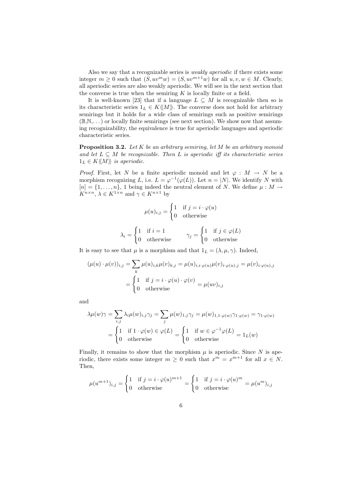Also we say that a recognizable series is weakly aperiodic if there exists some integer  $m \geq 0$  such that  $(S, uv^m w) = (S, uv^{m+1} w)$  for all  $u, v, w \in M$ . Clearly, all aperiodic series are also weakly aperiodic. We will see in the next section that the converse is true when the semiring  $K$  is locally finite or a field.

It is well-known [23] that if a language  $L \subseteq M$  is recognizable then so is its characteristic series  $1_L \in K\langle\langle M \rangle\rangle$ . The converse does not hold for arbitrary semirings but it holds for a wide class of semirings such as positive semirings  $(\mathbb{B},\mathbb{N},\dots)$  or locally finite semirings (see next section). We show now that assuming recognizability, the equivalence is true for aperiodic languages and aperiodic characteristic series.

**Proposition 3.2.** Let  $K$  be an arbitrary semiring, let  $M$  be an arbitrary monoid and let  $L \subseteq M$  be recognizable. Then L is aperiodic iff its characteristic series  $1_L \in K\langle\!\langle M \rangle\!\rangle$  is aperiodic.

*Proof.* First, let N be a finite aperiodic monoid and let  $\varphi : M \to N$  be a morphism recognizing L, i.e.  $L = \varphi^{-1}(\varphi(L))$ . Let  $n = |N|$ . We identify N with  $[n] = \{1, \ldots, n\},\$ 1 being indeed the neutral element of N. We define  $\mu : M \to$  $K^{n \times n}$ ,  $\lambda \in K^{1 \times n}$  and  $\gamma \in K^{n \times 1}$  by

$$
\mu(u)_{i,j} = \begin{cases} 1 & \text{if } j = i \cdot \varphi(u) \\ 0 & \text{otherwise} \end{cases}
$$

$$
\lambda_i = \begin{cases} 1 & \text{if } i = 1 \\ 0 & \text{otherwise} \end{cases} \qquad \gamma_j = \begin{cases} 1 & \text{if } j \in \varphi(L) \\ 0 & \text{otherwise} \end{cases}
$$

It is easy to see that  $\mu$  is a morphism and that  $1_L = (\lambda, \mu, \gamma)$ . Indeed,

$$
(\mu(u) \cdot \mu(v))_{i,j} = \sum_{k} \mu(u)_{i,k}\mu(v)_{k,j} = \mu(u)_{i,i \cdot \varphi(u)}\mu(v)_{i \cdot \varphi(u),j} = \mu(v)_{i \cdot \varphi(u),j}
$$

$$
= \begin{cases} 1 & \text{if } j = i \cdot \varphi(u) \cdot \varphi(v) \\ 0 & \text{otherwise} \end{cases} = \mu(uv)_{i,j}
$$

and

$$
\lambda \mu(w)\gamma = \sum_{i,j} \lambda_i \mu(w)_{i,j}\gamma_j = \sum_j \mu(w)_{1,j}\gamma_j = \mu(w)_{1,1\cdot\varphi(w)}\gamma_{1\cdot\varphi(w)} = \gamma_{1\cdot\varphi(w)}
$$

$$
= \begin{cases} 1 & \text{if } 1 \cdot \varphi(w) \in \varphi(L) \\ 0 & \text{otherwise} \end{cases} = \begin{cases} 1 & \text{if } w \in \varphi^{-1}\varphi(L) \\ 0 & \text{otherwise} \end{cases} = 1_L(w)
$$

Finally, it remains to show that the morphism  $\mu$  is aperiodic. Since N is aperiodic, there exists some integer  $m \geq 0$  such that  $x^m = x^{m+1}$  for all  $x \in N$ . Then,

$$
\mu(u^{m+1})_{i,j} = \begin{cases} 1 & \text{if } j = i \cdot \varphi(u)^{m+1} \\ 0 & \text{otherwise} \end{cases} = \begin{cases} 1 & \text{if } j = i \cdot \varphi(u)^m \\ 0 & \text{otherwise} \end{cases} = \mu(u^m)_{i,j}
$$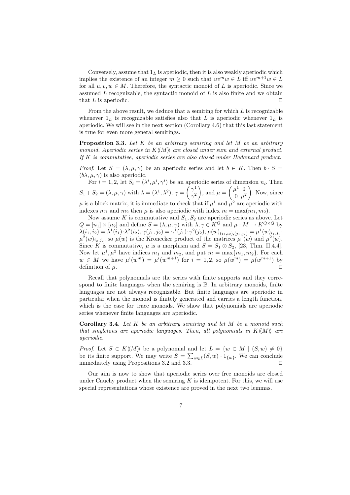Conversely, assume that  $1<sub>L</sub>$  is aperiodic, then it is also weakly aperiodic which implies the existence of an integer  $m \geq 0$  such that  $uv^m w \in L$  iff  $uv^{m+1}w \in L$ for all  $u, v, w \in M$ . Therefore, the syntactic monoid of L is aperiodic. Since we assumed  $L$  recognizable, the syntactic monoid of  $L$  is also finite and we obtain that  $L$  is aperiodic.

From the above result, we deduce that a semiring for which  $L$  is recognizable whenever  $1_L$  is recognizable satisfies also that L is aperiodic whenever  $1_L$  is aperiodic. We will see in the next section (Corollary 4.6) that this last statement is true for even more general semirings.

**Proposition 3.3.** Let  $K$  be an arbitrary semiring and let  $M$  be an arbitrary monoid. Aperiodic series in  $K\langle\!\langle M\rangle\!\rangle$  are closed under sum and external product. If K is commutative, aperiodic series are also closed under Hadamard product.

*Proof.* Let  $S = (\lambda, \mu, \gamma)$  be an aperiodic series and let  $b \in K$ . Then  $b \cdot S =$  $(b\lambda, \mu, \gamma)$  is also aperiodic.

For  $i = 1, 2$ , let  $S_i = (\lambda^i, \mu^i, \gamma^i)$  be an aperiodic series of dimension  $n_i$ . Then  $S_1 + S_2 = (\lambda, \mu, \gamma)$  with  $\lambda = (\lambda^1, \lambda^2), \gamma = \begin{pmatrix} \gamma^1 \\ \gamma^2 \end{pmatrix}$  $\gamma^2$ ), and  $\mu = \begin{pmatrix} \mu^1 & 0 \\ 0 & \mu^2 \end{pmatrix}$  $0 \mu^2$ ). Now, since  $\mu$  is a block matrix, it is immediate to check that if  $\mu^1$  and  $\mu^2$  are aperiodic with indexes  $m_1$  and  $m_2$  then  $\mu$  is also aperiodic with index  $m = \max(m_1, m_2)$ .

Now assume K is commutative and  $S_1, S_2$  are aperiodic series as above. Let  $Q = [n_1] \times [n_2]$  and define  $S = (\lambda, \mu, \gamma)$  with  $\lambda, \gamma \in K^Q$  and  $\mu : M \to K^{Q \times Q}$  by  $\lambda(i_1,i_2) = \lambda^1(i_1)\cdot\lambda^2(i_2), \gamma(j_1,j_2) = \gamma^1(j_1)\cdot\gamma^2(j_2), \mu(w)_{(i_1,i_2),(j_1,j_2)} = \mu^1(w)_{i_1,j_1}$  $\mu^2(w)_{i_2,j_2}$ , so  $\mu(w)$  is the Kronecker product of the matrices  $\mu^1(w)$  and  $\mu^2(w)$ . Since K is commutative,  $\mu$  is a morphism and  $S = S_1 \odot S_2$ , [23, Thm. II.4.4]. Now let  $\mu^1, \mu^2$  have indices  $m_1$  and  $m_2$ , and put  $m = \max\{m_1, m_2\}$ . For each  $w \in M$  we have  $\mu^{i}(w^{m}) = \mu^{i}(w^{m+1})$  for  $i = 1, 2$ , so  $\mu(w^{m}) = \mu(w^{m+1})$  by definition of  $\mu$ .

Recall that polynomials are the series with finite supports and they correspond to finite languages when the semiring is  $\mathbb B$ . In arbitrary monoids, finite languages are not always recognizable. But finite languages are aperiodic in particular when the monoid is finitely generated and carries a length function, which is the case for trace monoids. We show that polynomials are aperiodic series whenever finite languages are aperiodic.

**Corollary 3.4.** Let  $K$  be an arbitrary semiring and let  $M$  be a monoid such that singletons are aperiodic languages. Then, all polynomials in  $K\langle\!\langle M\rangle\!\rangle$  are aperiodic.

*Proof.* Let  $S \in K\langle M \rangle$  be a polynomial and let  $L = \{w \in M \mid (S, w) \neq 0\}$ be its finite support. We may write  $S = \sum_{w \in L} (S, w) \cdot 1_{\{w\}}$ . We can conclude immediately using Propositions 3.2 and 3.3.  $\square$ 

Our aim is now to show that aperiodic series over free monoids are closed under Cauchy product when the semiring  $K$  is idempotent. For this, we will use special representations whose existence are proved in the next two lemmas.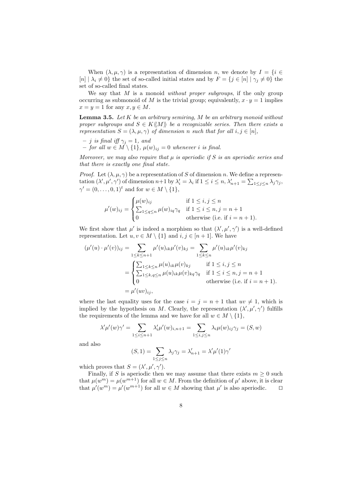When  $(\lambda, \mu, \gamma)$  is a representation of dimension n, we denote by  $I = \{i \in$  $[n] | \lambda_i \neq 0$ } the set of so-called initial states and by  $F = \{j \in [n] | \gamma_j \neq 0\}$  the set of so-called final states.

We say that  $M$  is a monoid *without proper subgroups*, if the only group occurring as submonoid of M is the trivial group; equivalently,  $x \cdot y = 1$  implies  $x = y = 1$  for any  $x, y \in M$ .

**Lemma 3.5.** Let  $K$  be an arbitrary semiring,  $M$  be an arbitrary monoid without proper subgroups and  $S \in K\langle\langle M \rangle\rangle$  be a recognizable series. Then there exists a representation  $S = (\lambda, \mu, \gamma)$  of dimension n such that for all  $i, j \in [n]$ ,

 $- j$  is final iff  $\gamma_i = 1$ , and – for all  $w \in M \setminus \{1\}$ ,  $\mu(w)_{ij} = 0$  whenever i is final.

Moreover, we may also require that  $\mu$  is aperiodic if S is an aperiodic series and that there is exactly one final state.

*Proof.* Let  $(\lambda, \mu, \gamma)$  be a representation of S of dimension n. We define a representation  $(\lambda', \mu', \gamma')$  of dimension  $n+1$  by  $\lambda'_i = \lambda_i$  if  $1 \leq i \leq n$ ,  $\lambda'_{n+1} = \sum_{1 \leq j \leq n} \lambda_j \gamma_j$ ,  $\gamma' = (0, \ldots, 0, 1)^t$  and for  $w \in M \setminus \{1\},$ 

$$
\mu'(w)_{ij} = \begin{cases} \mu(w)_{ij} & \text{if } 1 \le i, j \le n \\ \sum_{1 \le q \le n} \mu(w)_{iq} \gamma_q & \text{if } 1 \le i \le n, j = n+1 \\ 0 & \text{otherwise (i.e. if } i = n+1). \end{cases}
$$

We first show that  $\mu'$  is indeed a morphism so that  $(\lambda', \mu', \gamma')$  is a well-defined representation. Let  $u, v \in M \setminus \{1\}$  and  $i, j \in [n+1]$ . We have

$$
(\mu'(u) \cdot \mu'(v))_{ij} = \sum_{1 \le k \le n+1} \mu'(u)_{ik}\mu'(v)_{kj} = \sum_{1 \le k \le n} \mu'(u)_{ik}\mu'(v)_{kj}
$$
  

$$
= \begin{cases} \sum_{1 \le k \le n} \mu(u)_{ik}\mu(v)_{kj} & \text{if } 1 \le i, j \le n \\ \sum_{1 \le k, q \le n} \mu(u)_{ik}\mu(v)_{kq} \gamma_q & \text{if } 1 \le i \le n, j = n+1 \\ 0 & \text{otherwise (i.e. if } i = n+1). \end{cases}
$$
  

$$
= \mu'(uv)_{ij},
$$

where the last equality uses for the case  $i = j = n + 1$  that  $uv \neq 1$ , which is implied by the hypothesis on M. Clearly, the representation  $(\lambda', \mu', \gamma')$  fulfills the requirements of the lemma and we have for all  $w \in M \setminus \{1\}$ ,

$$
\lambda'\mu'(w)\gamma' = \sum_{1 \le i \le n+1} \lambda'_i \mu'(w)_{i,n+1} = \sum_{1 \le i,j \le n} \lambda_i \mu(w)_{ij}\gamma_j = (S, w)
$$

and also

$$
(S,1) = \sum_{1 \le j \le n} \lambda_j \gamma_j = \lambda'_{n+1} = \lambda' \mu'(1) \gamma'
$$

which proves that  $S = (\lambda', \mu', \gamma')$ .

Finally, if S is aperiodic then we may assume that there exists  $m \geq 0$  such that  $\mu(w^m) = \mu(w^{m+1})$  for all  $w \in M$ . From the definition of  $\mu'$  above, it is clear that  $\mu'(w^m) = \mu'(w^{m+1})$  for all  $w \in M$  showing that  $\mu'$  is also aperiodic.  $\square$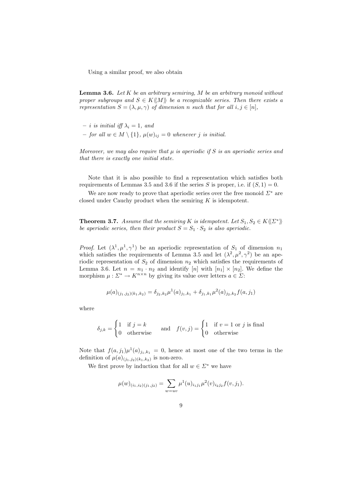Using a similar proof, we also obtain

**Lemma 3.6.** Let  $K$  be an arbitrary semiring,  $M$  be an arbitrary monoid without proper subgroups and  $S \in K\langle\!\langle M \rangle\rangle$  be a recognizable series. Then there exists a representation  $S = (\lambda, \mu, \gamma)$  of dimension n such that for all  $i, j \in [n]$ ,

- $i$  is initial iff  $\lambda_i = 1$ , and
- for all  $w \in M \setminus \{1\}$ ,  $\mu(w)_{ij} = 0$  whenever j is initial.

Moreover, we may also require that  $\mu$  is aperiodic if S is an aperiodic series and that there is exactly one initial state.

Note that it is also possible to find a representation which satisfies both requirements of Lemmas 3.5 and 3.6 if the series S is proper, i.e. if  $(S, 1) = 0$ .

We are now ready to prove that aperiodic series over the free monoid  $\Sigma^*$  are closed under Cauchy product when the semiring  $K$  is idempotent.

**Theorem 3.7.** Assume that the semiring K is idempotent. Let  $S_1, S_2 \in K \langle\!\langle \Sigma^* \rangle\!\rangle$ be aperiodic series, then their product  $S = S_1 \cdot S_2$  is also aperiodic.

*Proof.* Let  $(\lambda^1, \mu^1, \gamma^1)$  be an aperiodic representation of  $S_1$  of dimension  $n_1$ which satisfies the requirements of Lemma 3.5 and let  $(\lambda^2, \mu^2, \gamma^2)$  be an aperiodic representation of  $S_2$  of dimension  $n_2$  which satisfies the requirements of Lemma 3.6. Let  $n = n_1 \cdot n_2$  and identify  $[n]$  with  $[n_1] \times [n_2]$ . We define the morphism  $\mu : \Sigma^* \to K^{n \times n}$  by giving its value over letters  $a \in \Sigma$ :

$$
\mu(a)_{(j_1,j_2)(k_1,k_2)} = \delta_{j_2,k_2} \mu^1(a)_{j_1,k_1} + \delta_{j_1,k_1} \mu^2(a)_{j_2,k_2} f(a,j_1)
$$

where

$$
\delta_{j,k} = \begin{cases} 1 & \text{if } j = k \\ 0 & \text{otherwise} \end{cases} \quad \text{and} \quad f(v,j) = \begin{cases} 1 & \text{if } v = 1 \text{ or } j \text{ is final} \\ 0 & \text{otherwise} \end{cases}
$$

Note that  $f(a, j_1)\mu^1(a)_{j_1,k_1} = 0$ , hence at most one of the two terms in the definition of  $\mu(a)_{(j_1,j_2)(k_1,k_2)}$  is non-zero.

We first prove by induction that for all  $w \in \Sigma^*$  we have

$$
\mu(w)_{(i_1,i_2)(j_1,j_2)} = \sum_{w=uv} \mu^1(u)_{i_1j_1}\mu^2(v)_{i_2j_2}f(v,j_1).
$$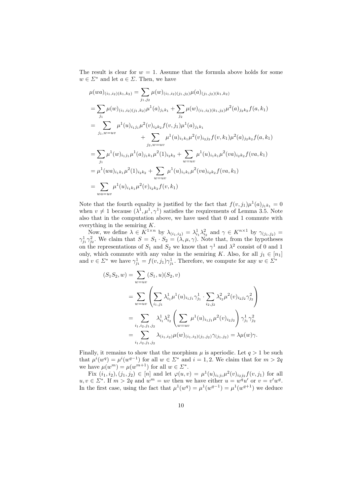The result is clear for  $w = 1$ . Assume that the formula above holds for some  $w \in \Sigma^*$  and let  $a \in \Sigma$ . Then, we have

$$
\mu(wa)_{(i_1,i_2)(k_1,k_2)} = \sum_{j_1,j_2} \mu(w)_{(i_1,i_2)(j_1,j_2)} \mu(a)_{(j_1,j_2)(k_1,k_2)}
$$
  
\n
$$
= \sum_{j_1} \mu(w)_{(i_1,i_2)(j_1,k_2)} \mu^1(a)_{j_1k_1} + \sum_{j_2} \mu(w)_{(i_1,i_2)(k_1,j_2)} \mu^2(a)_{j_2k_2} f(a,k_1)
$$
  
\n
$$
= \sum_{j_1,w=uv} \mu^1(u)_{i_1j_1} \mu^2(v)_{i_2k_2} f(v,j_1) \mu^1(a)_{j_1k_1}
$$
  
\n
$$
+ \sum_{j_2,w=uv} \mu^1(u)_{i_1k_1} \mu^2(v)_{i_2j_2} f(v,k_1) \mu^2(a)_{j_2k_2} f(a,k_1)
$$
  
\n
$$
= \sum_{j_1} \mu^1(w)_{i_1j_1} \mu^1(a)_{j_1k_1} \mu^2(1)_{i_2k_2} + \sum_{w=uv} \mu^1(u)_{i_1k_1} \mu^2(va)_{i_2k_2} f(va,k_1)
$$
  
\n
$$
= \mu^1(wa)_{i_1k_1} \mu^2(1)_{i_2k_2} + \sum_{w=uv} \mu^1(u)_{i_1k_1} \mu^2(va)_{i_2k_2} f(va,k_1)
$$
  
\n
$$
= \sum_{wa=uv} \mu^1(u)_{i_1k_1} \mu^2(v)_{i_2k_2} f(v,k_1)
$$

Note that the fourth equality is justified by the fact that  $f(v, j_1)\mu^1(a)_{j_1k_1} = 0$ when  $v \neq 1$  because  $(\lambda^1, \mu^1, \gamma^1)$  satisfies the requirements of Lemma 3.5. Note also that in the computation above, we have used that 0 and 1 commute with everything in the semiring K.

Now, we define  $\lambda \in K^{1 \times n}$  by  $\lambda_{(i_1,i_2)} = \lambda_{i_1}^1 \lambda_{i_2}^2$  and  $\gamma \in K^{n \times 1}$  by  $\gamma_{(j_1,j_2)} =$  $\gamma_{j_1}^1 \gamma_{j_2}^2$ . We claim that  $S = S_1 \cdot S_2 = (\lambda, \mu, \gamma)$ . Note that, from the hypotheses on the representations of  $S_1$  and  $S_2$  we know that  $\gamma^1$  and  $\lambda^2$  consist of 0 and 1 only, which commute with any value in the semiring K. Also, for all  $j_1 \in [n_1]$ and  $v \in \Sigma^*$  we have  $\gamma_{j_1}^1 = f(v, j_1) \gamma_{j_1}^1$ . Therefore, we compute for any  $w \in \Sigma^*$ 

$$
(S_1 S_2, w) = \sum_{w=uv} (S_1, u)(S_2, v)
$$
  
= 
$$
\sum_{w=uv} \left( \sum_{i_1, j_1} \lambda_{i_1}^1 \mu^1(u)_{i_1 j_1} \gamma_{j_1}^1 \cdot \sum_{i_2, j_2} \lambda_{i_2}^2 \mu^2(v)_{i_2 j_2} \gamma_{j_2}^2 \right)
$$
  
= 
$$
\sum_{i_1, i_2, j_1, j_2} \lambda_{i_1}^1 \lambda_{i_2}^2 \left( \sum_{w=uv} \mu^1(u)_{i_1 j_1} \mu^2(v)_{i_2 j_2} \right) \gamma_{j_1}^1 \gamma_{j_2}^2
$$
  
= 
$$
\sum_{i_1, i_2, j_1, j_2} \lambda_{(i_1, i_2)} \mu(w)_{(i_1, i_2)(j_1, j_2)} \gamma_{(j_1, j_2)} = \lambda \mu(w) \gamma.
$$

Finally, it remains to show that the morphism  $\mu$  is aperiodic. Let  $q > 1$  be such that  $\mu^{i}(w^{q}) = \mu^{i}(w^{q-1})$  for all  $w \in \Sigma^*$  and  $i = 1, 2$ . We claim that for  $m > 2q$ we have  $\mu(w^m) = \mu(w^{m+1})$  for all  $w \in \Sigma^*$ .

Fix  $(i_1, i_2), (j_1, j_2) \in [n]$  and let  $\varphi(u, v) = \mu^1(u)_{i_1 j_1} \mu^2(v)_{i_2 j_2} f(v, j_1)$  for all  $u, v \in \Sigma^*$ . If  $m > 2q$  and  $w^m = uv$  then we have either  $u = w^q u'$  or  $v = v' w^q$ . In the first case, using the fact that  $\mu^1(w^q) = \mu^1(w^{q-1}) = \mu^1(w^{q+1})$  we deduce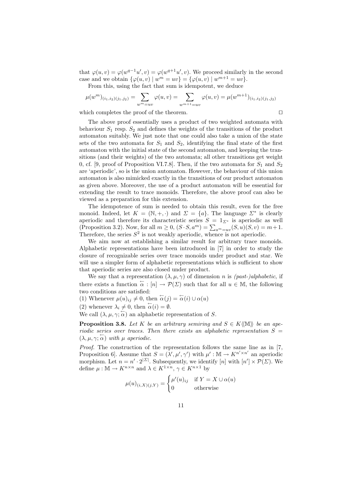that  $\varphi(u, v) = \varphi(w^{q-1}u', v) = \varphi(w^{q+1}u', v)$ . We proceed similarly in the second case and we obtain  $\{\varphi(u, v) \mid w^m = uv\} = \{\varphi(u, v) \mid w^{m+1} = uv\}.$ 

From this, using the fact that sum is idempotent, we deduce

$$
\mu(w^m)_{(i_1,i_2)(j_1,j_2)} = \sum_{w^m = uv} \varphi(u,v) = \sum_{w^{m+1} = uv} \varphi(u,v) = \mu(w^{m+1})_{(i_1,i_2)(j_1,j_2)}
$$

which completes the proof of the theorem.  $\Box$ 

The above proof essentially uses a product of two weighted automata with behaviour  $S_1$  resp.  $S_2$  and defines the weights of the transitions of the product automaton suitably. We just note that one could also take a union of the state sets of the two automata for  $S_1$  and  $S_2$ , identifying the final state of the first automaton with the initial state of the second automaton, and keeping the transitions (and their weights) of the two automata; all other transitions get weight 0, cf. [9, proof of Proposition VI.7.8]. Then, if the two automata for  $S_1$  and  $S_2$ are 'aperiodic', so is the union automaton. However, the behaviour of this union automaton is also mimicked exactly in the transitions of our product automaton as given above. Moreover, the use of a product automaton will be essential for extending the result to trace monoids. Therefore, the above proof can also be viewed as a preparation for this extension.

The idempotence of sum is needed to obtain this result, even for the free monoid. Indeed, let  $K = (\mathbb{N}, +, \cdot)$  and  $\Sigma = \{a\}$ . The language  $\Sigma^*$  is clearly aperiodic and therefore its characteristic series  $S = 1_{\Sigma^*}$  is aperiodic as well (Proposition 3.2). Now, for all  $m \ge 0$ ,  $(S \cdot S, a^m) = \sum_{a^m=u^v} (S, u)(S, v) = m+1$ . Therefore, the series  $S^2$  is not weakly aperiodic, whence is not aperiodic.

We aim now at establishing a similar result for arbitrary trace monoids. Alphabetic representations have been introduced in [7] in order to study the closure of recognizable series over trace monoids under product and star. We will use a simpler form of alphabetic representations which is sufficient to show that aperiodic series are also closed under product.

We say that a representation  $(\lambda, \mu, \gamma)$  of dimension n is *(past-)alphabetic*, if there exists a function  $\alpha : [n] \to \mathcal{P}(\Sigma)$  such that for all  $u \in \mathbb{M}$ , the following two conditions are satisfied:

(1) Whenever  $\mu(u)_{ij} \neq 0$ , then  $\overleftarrow{\alpha}(j) = \overleftarrow{\alpha}(i) \cup \alpha(u)$ 

(2) whenever  $\lambda_i \neq 0$ , then  $\alpha(i) = \emptyset$ .

We call  $(\lambda, \mu, \gamma; \overleftarrow{\alpha})$  an alphabetic representation of S.

**Proposition 3.8.** Let K be an arbitrary semiring and  $S \in K(\mathbb{M})$  be an aperiodic series over traces. Then there exists an alphabetic representation  $S =$  $(\lambda, \mu, \gamma; \overleftarrow{\alpha})$  with  $\mu$  aperiodic.

Proof. The construction of the representation follows the same line as in [7, Proposition 6]. Assume that  $S = (\lambda', \mu', \gamma')$  with  $\mu' : \mathbb{M} \to K^{n' \times n'}$  an aperiodic morphism. Let  $n = n' \cdot 2^{|\Sigma|}$ . Subsequently, we identify [n] with  $[n'] \times \mathcal{P}(\Sigma)$ . We define  $\mu : \mathbb{M} \to K^{n \times n}$  and  $\lambda \in K^{1 \times n}$ ,  $\gamma \in K^{n \times 1}$  by

$$
\mu(u)_{(i,X)(j,Y)} = \begin{cases} \mu'(u)_{ij} & \text{if } Y = X \cup \alpha(u) \\ 0 & \text{otherwise} \end{cases}
$$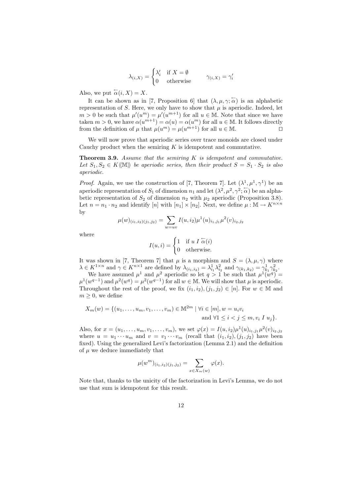$$
\lambda_{(i,X)} = \begin{cases} \lambda_i' & \text{if } X = \emptyset \\ 0 & \text{otherwise} \end{cases} \qquad \gamma_{(i,X)} = \gamma_i'
$$

Also, we put  $\overleftarrow{\alpha}(i, X) = X$ .

It can be shown as in [7, Proposition 6] that  $(\lambda, \mu, \gamma; \overleftarrow{\alpha})$  is an alphabetic representation of S. Here, we only have to show that  $\mu$  is aperiodic. Indeed, let  $m > 0$  be such that  $\mu'(u^m) = \mu'(u^{m+1})$  for all  $u \in \mathbb{M}$ . Note that since we have taken  $m > 0$ , we have  $\alpha(u^{m+1}) = \alpha(u) = \alpha(u^m)$  for all  $u \in \mathbb{M}$ . It follows directly from the definition of  $\mu$  that  $\mu(u^m) = \mu(u^{m+1})$  for all  $u \in \mathbb{M}$ .

We will now prove that aperiodic series over trace monoids are closed under Cauchy product when the semiring  $K$  is idempotent and commutative.

**Theorem 3.9.** Assume that the semiring  $K$  is idempotent and commutative. Let  $S_1, S_2 \in K(\mathbb{M})$  be aperiodic series, then their product  $S = S_1 \cdot S_2$  is also aperiodic.

*Proof.* Again, we use the construction of [7, Theorem 7]. Let  $(\lambda^1, \mu^1, \gamma^1)$  be an aperiodic representation of  $S_1$  of dimension  $n_1$  and let  $(\lambda^2, \mu^2, \gamma^2; \overleftarrow{\alpha})$  be an alphabetic representation of  $S_2$  of dimension  $n_2$  with  $\mu_2$  aperiodic (Proposition 3.8). Let  $n = n_1 \cdot n_2$  and identify  $[n]$  with  $[n_1] \times [n_2]$ . Next, we define  $\mu : \mathbb{M} \to K^{n \times n}$ by

$$
\mu(w)_{(i_1,i_2)(j_1,j_2)} = \sum_{w=uv} I(u,i_2) \mu^1(u)_{i_1,j_1} \mu^2(v)_{i_2,j_2}
$$

where

$$
I(u, i) = \begin{cases} 1 & \text{if } u \in \overleftarrow{\alpha}(i) \\ 0 & \text{otherwise.} \end{cases}
$$

It was shown in [7, Theorem 7] that  $\mu$  is a morphism and  $S = (\lambda, \mu, \gamma)$  where  $\lambda \in K^{1 \times n}$  and  $\gamma \in K^{n \times 1}$  are defined by  $\lambda_{(i_1,i_2)} = \lambda_{i_1}^1 \lambda_{i_2}^2$  and  $\gamma_{(k_1,k_2)} = \gamma_{k_1}^1 \gamma_{k_2}^2$ .

We have assumed  $\mu^1$  and  $\mu^2$  aperiodic so let  $q > 1$  be such that  $\mu^1(w^q) =$  $\mu^1(w^{q-1})$  and  $\mu^2(w^q) = \mu^2(w^{q-1})$  for all  $w \in \mathbb{M}$ . We will show that  $\mu$  is aperiodic. Throughout the rest of the proof, we fix  $(i_1, i_2), (j_1, j_2) \in [n]$ . For  $w \in \mathbb{M}$  and  $m \geq 0$ , we define

$$
X_m(w) = \{ (u_1, \dots, u_m, v_1, \dots, v_m) \in \mathbb{M}^{2m} \mid \forall i \in [m], w = u_i v_i
$$
  
and  $\forall 1 \le i < j \le m, v_i \in I \; u_j \}.$ 

Also, for  $x = (u_1, \ldots, u_m, v_1, \ldots, v_m)$ , we set  $\varphi(x) = I(u, i_2) \mu^1(u)_{i_1, j_1} \mu^2(v)_{i_2, j_2}$ where  $u = u_1 \cdots u_m$  and  $v = v_1 \cdots v_m$  (recall that  $(i_1, i_2), (j_1, j_2)$ ) have been fixed). Using the generalized Levi's factorization (Lemma 2.1) and the definition of  $\mu$  we deduce immediately that

$$
\mu(w^m)_{(i_1,i_2)(j_1,j_2)} = \sum_{x \in X_m(w)} \varphi(x).
$$

Note that, thanks to the unicity of the factorization in Levi's Lemma, we do not use that sum is idempotent for this result.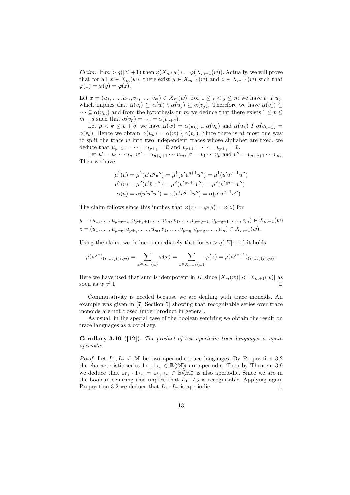*Claim.* If  $m > q(|\Sigma|+1)$  then  $\varphi(X_m(w)) = \varphi(X_{m+1}(w))$ . Actually, we will prove that for all  $x \in X_m(w)$ , there exist  $y \in X_{m-1}(w)$  and  $z \in X_{m+1}(w)$  such that  $\varphi(x) = \varphi(y) = \varphi(z).$ 

Let  $x = (u_1, \ldots, u_m, v_1, \ldots, v_m) \in X_m(w)$ . For  $1 \leq i < j \leq m$  we have  $v_i I u_j$ , which implies that  $\alpha(v_i) \subseteq \alpha(w) \setminus \alpha(u_i) \subseteq \alpha(v_i)$ . Therefore we have  $\alpha(v_1) \subseteq$  $\cdots \subseteq \alpha(v_m)$  and from the hypothesis on m we deduce that there exists  $1 \leq p \leq$  $m - q$  such that  $\alpha(v_p) = \cdots = \alpha(v_{p+q})$ .

Let  $p < k \leq p+q$ , we have  $\alpha(w) = \alpha(u_k) \cup \alpha(v_k)$  and  $\alpha(u_k) I \alpha(v_{k-1}) =$  $\alpha(v_k)$ . Hence we obtain  $\alpha(u_k) = \alpha(w) \setminus \alpha(v_k)$ . Since there is at most one way to split the trace  $w$  into two independent traces whose alphabet are fixed, we deduce that  $u_{p+1} = \cdots = u_{p+q} = \bar{u}$  and  $v_{p+1} = \cdots = v_{p+q} = \bar{v}$ .

Let  $u' = u_1 \cdots u_p$ ,  $u'' = u_{p+q+1} \cdots u_m$ ,  $v' = v_1 \cdots v_p$  and  $v'' = v_{p+q+1} \cdots v_m$ . Then we have

$$
\mu^{1}(u) = \mu^{1}(u'\bar{u}^{q}u'') = \mu^{1}(u'\bar{u}^{q+1}u'') = \mu^{1}(u'\bar{u}^{q-1}u'')
$$

$$
\mu^{2}(v) = \mu^{2}(v'\bar{v}^{q}v'') = \mu^{2}(v'\bar{v}^{q+1}v'') = \mu^{2}(v'\bar{v}^{q-1}v'')
$$

$$
\alpha(u) = \alpha(u'\bar{u}^{q}u'') = \alpha(u'\bar{u}^{q+1}u'') = \alpha(u'\bar{u}^{q-1}u'')
$$

The claim follows since this implies that  $\varphi(x) = \varphi(y) = \varphi(z)$  for

$$
y = (u_1, \ldots, u_{p+q-1}, u_{p+q+1}, \ldots, u_m, v_1, \ldots, v_{p+q-1}, v_{p+q+1}, \ldots, v_m) \in X_{m-1}(w)
$$
  

$$
z = (u_1, \ldots, u_{p+q}, u_{p+q}, \ldots, u_m, v_1, \ldots, v_{p+q}, v_{p+q}, \ldots, v_m) \in X_{m+1}(w).
$$

Using the claim, we deduce immediately that for  $m > q(|\mathcal{L}| + 1)$  it holds

$$
\mu(w^m)_{(i_1,i_2)(j_1,j_2)} = \sum_{x \in X_m(w)} \varphi(x) = \sum_{x \in X_{m+1}(w)} \varphi(x) = \mu(w^{m+1})_{(i_1,i_2)(j_1,j_2)}.
$$

Here we have used that sum is idempotent in K since  $|X_m(w)| < |X_{m+1}(w)|$  as soon as  $w \neq 1$ .

Commutativity is needed because we are dealing with trace monoids. An example was given in [7, Section 5] showing that recognizable series over trace monoids are not closed under product in general.

As usual, in the special case of the boolean semiring we obtain the result on trace languages as a corollary.

**Corollary 3.10 ([12]).** The product of two aperiodic trace languages is again aperiodic.

*Proof.* Let  $L_1, L_2 \subseteq \mathbb{M}$  be two aperiodic trace languages. By Proposition 3.2 the characteristic series  $1_{L_1}, 1_{L_2} \in \mathbb{B} \langle \mathbb{M} \rangle$  are aperiodic. Then by Theorem 3.9 we deduce that  $1_{L_1} \cdot 1_{L_2} = 1_{L_1 \cdot L_2} \in \mathbb{B} \langle \mathbb{M} \rangle$  is also aperiodic. Since we are in the boolean semiring this implies that  $L_1 \cdot L_2$  is recognizable. Applying again Proposition 3.2 we deduce that  $L_1 \cdot L_2$  is aperiodic.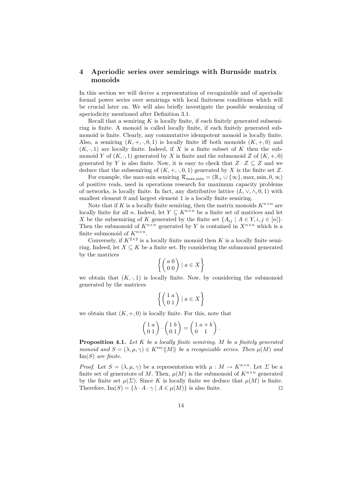#### 4 Aperiodic series over semirings with Burnside matrix monoids

In this section we will derive a representation of recognizable and of aperiodic formal power series over semirings with local finiteness conditions which will be crucial later on. We will also briefly investigate the possible weakening of aperiodicity mentioned after Definition 3.1.

Recall that a semiring  $K$  is locally finite, if each finitely generated subsemiring is finite. A monoid is called locally finite, if each finitely generated submonoid is finite. Clearly, any commutative idempotent monoid is locally finite. Also, a semiring  $(K, +, \cdot, 0, 1)$  is locally finite iff both monoids  $(K, +, 0)$  and  $(K, \cdot, 1)$  are locally finite. Indeed, if X is a finite subset of K then the submonoid Y of  $(K, \cdot, 1)$  generated by X is finite and the submonoid Z of  $(K, +, 0)$ generated by Y is also finite. Now, it is easy to check that  $Z \cdot Z \subseteq Z$  and we deduce that the subsemiring of  $(K, +, \cdot, 0, 1)$  generated by X is the finite set Z.

For example, the max-min semiring  $\mathcal{R}_{\text{max,min}} = (\mathbb{R}_{+} \cup \{\infty\}, \text{max,min}, 0, \infty)$ of positive reals, used in operations research for maximum capacity problems of networks, is locally finite. In fact, any distributive lattice  $(L, \vee, \wedge, 0, 1)$  with smallest element 0 and largest element 1 is a locally finite semiring.

Note that if K is a locally finite semiring, then the matrix monoids  $K^{n \times n}$  are locally finite for all n. Indeed, let  $Y \subseteq K^{n \times n}$  be a finite set of matrices and let X be the subsemiring of K generated by the finite set  $\{A_{ij} \mid A \in Y, i, j \in [n]\}.$ Then the submonoid of  $K^{n\times n}$  generated by Y is contained in  $X^{n\times n}$  which is a finite submonoid of  $K^{n \times n}$ .

Conversely, if  $K^{2\times 2}$  is a locally finite monoid then K is a locally finite semiring. Indeed, let  $X \subseteq K$  be a finite set. By considering the submonoid generated by the matrices

$$
\left\{ \begin{pmatrix} a & 0 \\ 0 & 0 \end{pmatrix} \mid a \in X \right\}
$$

we obtain that  $(K, \cdot, 1)$  is locally finite. Now, by considering the submonoid generated by the matrices

$$
\left\{ \begin{pmatrix} 1 & a \\ 0 & 1 \end{pmatrix} \mid a \in X \right\}
$$

we obtain that  $(K, +, 0)$  is locally finite. For this, note that

$$
\begin{pmatrix} 1 & a \\ 0 & 1 \end{pmatrix} \cdot \begin{pmatrix} 1 & b \\ 0 & 1 \end{pmatrix} = \begin{pmatrix} 1 & a+b \\ 0 & 1 \end{pmatrix}.
$$

**Proposition 4.1.** Let  $K$  be a locally finite semiring,  $M$  be a finitely generated monoid and  $S = (\lambda, \mu, \gamma) \in K^{\text{rec}} \langle M \rangle$  be a recognizable series. Then  $\mu(M)$  and  $Im(S)$  are finite.

*Proof.* Let  $S = (\lambda, \mu, \gamma)$  be a representation with  $\mu : M \to K^{n \times n}$ . Let  $\Sigma$  be a finite set of generators of M. Then,  $\mu(M)$  is the submonoid of  $K^{n \times n}$  generated by the finite set  $\mu(\Sigma)$ . Since K is locally finite we deduce that  $\mu(M)$  is finite. Therefore,  $\text{Im}(S) = \{\lambda \cdot A \cdot \gamma \mid A \in \mu(M)\}\$ is also finite.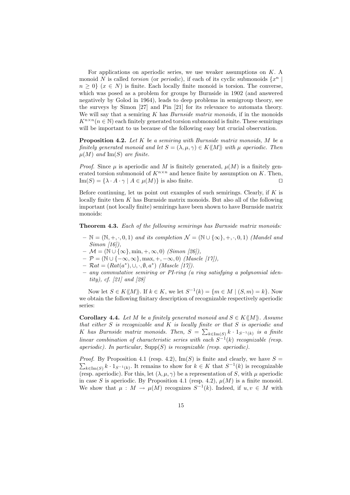For applications on aperiodic series, we use weaker assumptions on  $K$ . A monoid N is called torsion (or periodic), if each of its cyclic submonoids  $\{x^n\}$  $n \geq 0$   $(x \in N)$  is finite. Each locally finite monoid is torsion. The converse, which was posed as a problem for groups by Burnside in 1902 (and answered negatively by Golod in 1964), leads to deep problems in semigroup theory, see the surveys by Simon [27] and Pin [21] for its relevance to automata theory. We will say that a semiring  $K$  has *Burnside matrix monoids*, if in the monoids  $K^{n\times n}$  ( $n \in \mathbb{N}$ ) each finitely generated torsion submonoid is finite. These semirings will be important to us because of the following easy but crucial observation.

**Proposition 4.2.** Let  $K$  be a semiring with Burnside matrix monoids,  $M$  be a finitely generated monoid and let  $S = (\lambda, \mu, \gamma) \in K \langle M \rangle$  with  $\mu$  aperiodic. Then  $\mu(M)$  and Im(S) are finite.

*Proof.* Since u is aperiodic and M is finitely generated,  $\mu(M)$  is a finitely generated torsion submonoid of  $K^{n \times n}$  and hence finite by assumption on K. Then,  $\text{Im}(S) = \{\lambda \cdot A \cdot \gamma \mid A \in \mu(M)\}\$ is also finite.

Before continuing, let us point out examples of such semirings. Clearly, if  $K$  is locally finite then  $K$  has Burnside matrix monoids. But also all of the following important (not locally finite) semirings have been shown to have Burnside matrix monoids:

Theorem 4.3. Each of the following semirings has Burnside matrix monoids:

- $\mathbb{N} = (\mathbb{N}, +, \cdot, 0, 1)$  and its completion  $\mathcal{N} = (\mathbb{N} \cup \{\infty\}, +, \cdot, 0, 1)$  (Mandel and Simon [16]),
- $\mathcal{M} = (\mathbb{N} \cup \{\infty\}, \min, +, \infty, 0)$  (Simon [26]),
- $-\mathcal{P} = (\mathbb{N} \cup \{-\infty, \infty\}, \max, +, -\infty, 0)$  (Mascle [17]),
- $\mathcal{R}at = (Rat(a^*), \cup, \cdot, \emptyset, a^*)$  (Mascle [17]).
- any commutative semiring or PI-ring (a ring satisfying a polynomial identity), cf. [21] and [28]

Now let  $S \in K\langle\langle M \rangle\rangle$ . If  $k \in K$ , we let  $S^{-1}(k) = \{m \in M \mid (S, m) = k\}$ . Now we obtain the following finitary description of recognizable respectively aperiodic series:

Corollary 4.4. Let M be a finitely generated monoid and  $S \in K(\langle M \rangle)$ . Assume that either  $S$  is recognizable and  $K$  is locally finite or that  $S$  is aperiodic and K has Burnside matrix monoids. Then,  $S = \sum_{k \in \text{Im}(S)} k \cdot 1_{S^{-1}(k)}$  is a finite linear combination of characteristic series with each  $S^{-1}(k)$  recognizable (resp. aperiodic). In particular,  $\text{Supp}(S)$  is recognizable (resp. aperiodic).

 $\sum_{k\in \text{Im}(S)} k \cdot 1_{S^{-1}(k)}$ . It remains to show for  $k \in K$  that  $S^{-1}(k)$  is recognizable *Proof.* By Proposition 4.1 (resp. 4.2),  $\text{Im}(S)$  is finite and clearly, we have  $S =$ (resp. aperiodic). For this, let  $(\lambda, \mu, \gamma)$  be a representation of S, with  $\mu$  aperiodic in case S is aperiodic. By Proposition 4.1 (resp. 4.2),  $\mu(M)$  is a finite monoid. We show that  $\mu : M \to \mu(M)$  recognizes  $S^{-1}(k)$ . Indeed, if  $u, v \in M$  with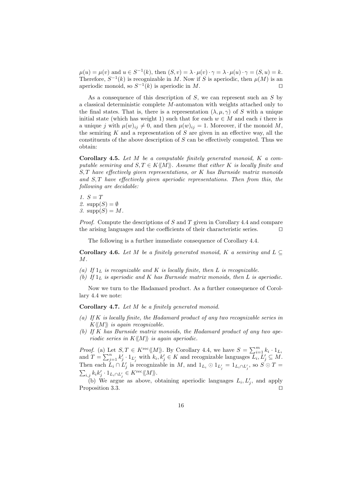$\mu(u) = \mu(v)$  and  $u \in S^{-1}(k)$ , then  $(S, v) = \lambda \cdot \mu(v) \cdot \gamma = \lambda \cdot \mu(u) \cdot \gamma = (S, u) = k$ . Therefore,  $S^{-1}(k)$  is recognizable in M. Now if S is aperiodic, then  $\mu(M)$  is an aperiodic monoid, so  $S^{-1}(k)$  is aperiodic in M.

As a consequence of this description of  $S$ , we can represent such an  $S$  by a classical deterministic complete M-automaton with weights attached only to the final states. That is, there is a representation  $(\lambda, \mu, \gamma)$  of S with a unique initial state (which has weight 1) such that for each  $w \in M$  and each i there is a unique j with  $\mu(w)_{ij} \neq 0$ , and then  $\mu(w)_{ij} = 1$ . Moreover, if the monoid M, the semiring  $K$  and a representation of  $S$  are given in an effective way, all the constituents of the above description of  $S$  can be effectively computed. Thus we obtain:

**Corollary 4.5.** Let  $M$  be a computable finitely generated monoid,  $K$  a computable semiring and  $S, T \in K\langle\langle M \rangle\rangle$ . Assume that either K is locally finite and  $S, T$  have effectively given representations, or  $K$  has Burnside matrix monoids and S, T have effectively given aperiodic representations. Then from this, the following are decidable:

1.  $S = T$ 2.  $supp(S) = \emptyset$ 3.  $supp(S) = M$ .

*Proof.* Compute the descriptions of S and T given in Corollary 4.4 and compare the arising languages and the coefficients of their characteristic series.  $\Box$ 

The following is a further immediate consequence of Corollary 4.4.

**Corollary 4.6.** Let M be a finitely generated monoid, K a semiring and  $L \subseteq$  $M$ .

- (a) If  $1_L$  is recognizable and K is locally finite, then L is recognizable.
- (b) If  $1_L$  is aperiodic and K has Burnside matrix monoids, then L is aperiodic.

Now we turn to the Hadamard product. As a further consequence of Corollary 4.4 we note:

Corollary 4.7. Let M be a finitely generated monoid.

- (a) If K is locally finite, the Hadamard product of any two recognizable series in  $K\langle\langle M\rangle\rangle$  is again recognizable.
- (b) If K has Burnside matrix monoids, the Hadamard product of any two aperiodic series in  $K\langle\!\langle M\rangle\!\rangle$  is again aperiodic.

*Proof.* (a) Let  $S, T \in K^{\text{rec}} \langle M \rangle$ . By Corollary 4.4, we have  $S = \sum_{i=1}^{m} k_i \cdot 1_{L_i}$ and  $T = \sum_{j=1}^n k'_j \cdot 1_{L'_j}$  with  $k_i, k'_j \in K$  and recognizable languages  $\overline{L'_i}, \overline{L'_j} \subseteq M$ . Then each  $L_i \cap L'_j$  is recognizable in M, and  $1_{L_i} \odot 1_{L'_j} = 1_{L_i \cap L'_j}$ , so  $S \odot T =$  $\sum_{i,j} k_i k'_j \cdot 1_{L_i \cap L'_j} \in K^{\text{rec}} \langle \! \langle M \rangle \! \rangle.$ 

(b) We argue as above, obtaining aperiodic languages  $L_i, L'_j$ , and apply Proposition 3.3.  $\Box$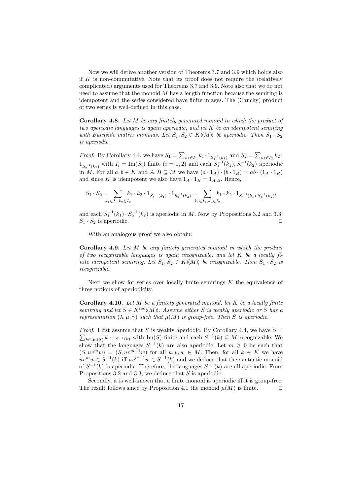Now we will derive another version of Theorems 3.7 and 3.9 which holds also if K is non-commutative. Note that its proof does not require the (relatively complicated) arguments used for Theorems 3.7 and 3.9. Note also that we do not need to assume that the monoid  $M$  has a length function because the semiring is idempotent and the series considered have finite images. The (Cauchy) product of two series is well-defined in this case.

Corollary 4.8. Let M be any finitely generated monoid in which the product of two aperiodic languages is again aperiodic, and let  $K$  be an idempotent semiring with Burnside matrix monoids. Let  $S_1, S_2 \in K\langle\langle M \rangle\rangle$  be aperiodic. Then  $S_1 \cdot S_2$ is aperiodic.

*Proof.* By Corollary 4.4, we have  $S_1 = \sum_{k_1 \in I_1} k_1 \cdot 1_{S_1^{-1}(k_1)}$  and  $S_2 = \sum_{k_2 \in I_2} k_2$ .  $1_{S_2^{-1}(k_2)}$  with  $I_i = \text{Im}(S_i)$  finite  $(i = 1, 2)$  and each  $S_1^{-1}(k_1), S_2^{-1}(k_2)$  aperiodic in M. For all  $a, b \in K$  and  $A, B \subseteq M$  we have  $(a \cdot 1_A) \cdot (b \cdot 1_B) = ab \cdot (1_A \cdot 1_B)$ and since K is idempotent we also have  $1_A \cdot 1_B = 1_A \cdot B$ . Hence,

$$
S_1 \cdot S_2 = \sum_{k_1 \in I_1, k_2 \in I_2} k_1 \cdot k_2 \cdot 1_{S_1^{-1}(k_1)} \cdot 1_{S_2^{-1}(k_2)} = \sum_{k_1 \in I_1, k_2 \in I_2} k_1 \cdot k_2 \cdot 1_{S_1^{-1}(k_1) \cdot S_2^{-1}(k_2)},
$$

and each  $S_1^{-1}(k_1) \cdot S_2^{-1}(k_2)$  is aperiodic in M. Now by Propositions 3.2 and 3.3,  $S_1 \cdot S_2$  is aperiodic.

With an analogous proof we also obtain:

Corollary 4.9. Let M be any finitely generated monoid in which the product of two recognizable languages is again recognizable, and let  $K$  be a locally finite idempotent semiring. Let  $S_1, S_2 \in K\langle M \rangle$  be recognizable. Then  $S_1 \cdot S_2$  is recognizable.

Next we show for series over locally finite semirings  $K$  the equivalence of three notions of aperiodicity.

**Corollary 4.10.** Let  $M$  be a finitely generated monoid, let  $K$  be a locally finite semiring and let  $S \in K^{\text{rec}}(M)$ . Assume either S is weakly aperiodic or S has a representation  $(\lambda, \mu, \gamma)$  such that  $\mu(M)$  is group-free. Then S is aperiodic.

*Proof.* First assume that S is weakly aperiodic. By Corollary 4.4, we have  $S =$  $\sum_{k\in \text{Im}(S)} k \cdot 1_{S^{-1}(k)}$  with Im(S) finite and each  $S^{-1}(k) \subseteq M$  recognizable. We show that the languages  $S^{-1}(k)$  are also aperiodic. Let  $m \geq 0$  be such that  $(S, uv^mw) = (S, uv^{m+1}w)$  for all  $u, v, w \in M$ . Then, for all  $k \in K$  we have  $uv^mw\in S^{-1}(k)$  iff  $uv^{m+1}w\in S^{-1}(k)$  and we deduce that the syntactic monoid of  $S^{-1}(k)$  is aperiodic. Therefore, the languages  $S^{-1}(k)$  are all aperiodic. From Propositions 3.2 and 3.3, we deduce that  $S$  is aperiodic.

Secondly, it is well-known that a finite monoid is aperiodic iff it is group-free. The result follows since by Proposition 4.1 the monoid  $\mu(M)$  is finite.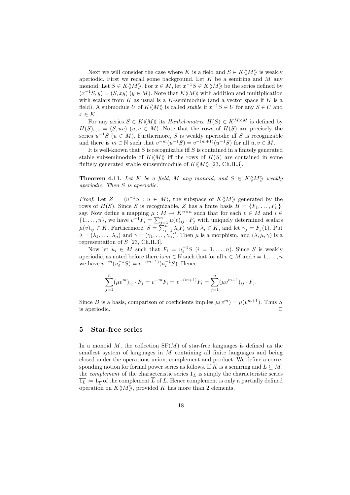Next we will consider the case where K is a field and  $S \in K\langle\langle M \rangle\rangle$  is weakly aperiodic. First we recall some background. Let  $K$  be a semiring and  $M$  any monoid. Let  $S \in K\langle M \rangle$ . For  $x \in M$ , let  $x^{-1}S \in K\langle M \rangle$  be the series defined by  $(x^{-1}S, y) = (S, xy) (y \in M)$ . Note that  $K\langle\langle M \rangle\rangle$  with addition and multiplication with scalars from  $K$  as usual is a  $K$ -semimodule (and a vector space if  $K$  is a field). A submodule U of  $K\langle M \rangle$  is called *stable* if  $x^{-1}S \in U$  for any  $S \in U$  and  $x \in K$ .

For any series  $S \in K\langle M \rangle$  its Hankel-matrix  $H(S) \in K^{M \times M}$  is defined by  $H(S)_{u,v} = (S, uv)$   $(u, v \in M)$ . Note that the rows of  $H(S)$  are precisely the series  $u^{-1}S$  ( $u \in M$ ). Furthermore, S is weakly aperiodic iff S is recognizable and there is  $m \in \mathbb{N}$  such that  $v^{-m}(u^{-1}S) = v^{-(m+1)}(u^{-1}S)$  for all  $u, v \in M$ .

It is well-known that  $S$  is recognizable iff  $S$  is contained in a finitely generated stable subsemimodule of  $K\langle\!\langle M\rangle\!\rangle$  iff the rows of  $H(S)$  are contained in some finitely generated stable subsemimodule of  $K\langle\!\langle M\rangle\!\rangle$  [23, Ch.II.3].

**Theorem 4.11.** Let K be a field, M any monoid, and  $S \in K\langle\langle M \rangle\rangle$  weakly aperiodic. Then S is aperiodic.

*Proof.* Let  $Z = \langle u^{-1}S : u \in M \rangle$ , the subspace of  $K\langle\langle M \rangle\rangle$  generated by the rows of  $H(S)$ . Since S is recognizable, Z has a finite basis  $B = \{F_1, \ldots, F_n\}$ , say. Now define a mapping  $\mu : M \to K^{n \times n}$  such that for each  $v \in M$  and  $i \in$  $\{1,\ldots,n\}$ , we have  $v^{-1}F_i = \sum_{j=1}^n \mu(v)_{ij} \cdot F_j$  with uniquely determined scalars  $\mu(v)_{ij} \in K$ . Furthermore,  $S = \sum_{i=1}^{n} \lambda_i F_i$  with  $\lambda_i \in K$ , and let  $\gamma_j = F_j(1)$ . Put  $\lambda = (\lambda_1, \ldots, \lambda_n)$  and  $\gamma = (\gamma_1, \ldots, \gamma_n)'$ . Then  $\mu$  is a morphism, and  $(\lambda, \mu, \gamma)$  is a representation of  $S$  [23, Ch.II.3].

Now let  $u_i \in M$  such that  $F_i = u_i^{-1}S$   $(i = 1, ..., n)$ . Since S is weakly aperiodic, as noted before there is  $m \in \mathbb{N}$  such that for all  $v \in M$  and  $i = 1, \ldots, n$ we have  $v^{-m}(u_i^{-1}S) = v^{-(m+1)}(u_i^{-1}S)$ . Hence

$$
\sum_{j=1}^{n} (\mu v^{m})_{ij} \cdot F_{j} = v^{-m} F_{i} = v^{-(m+1)} F_{i} = \sum_{j=1}^{n} (\mu v^{m+1})_{ij} \cdot F_{j}.
$$

Since B is a basis, comparison of coefficients implies  $\mu(v^m) = \mu(v^{m+1})$ . Thus S is aperiodic.  $\Box$ 

#### 5 Star-free series

In a monoid  $M$ , the collection  $SF(M)$  of star-free languages is defined as the smallest system of languages in  $M$  containing all finite languages and being closed under the operations union, complement and product. We define a corresponding notion for formal power series as follows. If K is a semiring and  $L \subseteq M$ , the *complement* of the characteristic series  $1_L$  is simply the characteristic series  $\overline{1_L} := 1_{\overline{L}}$  of the complement  $\overline{L}$  of L. Hence complement is only a partially defined operation on  $K\langle\langle M\rangle\rangle$ , provided K has more than 2 elements.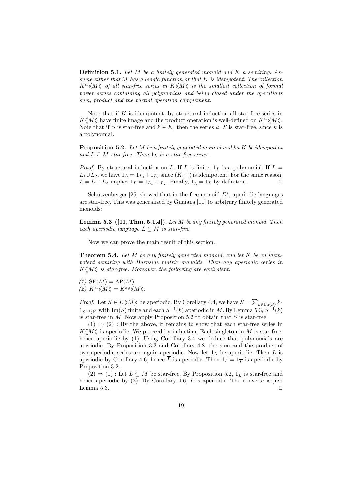**Definition 5.1.** Let M be a finitely generated monoid and K a semiring. Assume either that M has a length function or that K is idempotent. The collection  $K^{\text{sf}}\langle\!\langle M\rangle\!\rangle$  of all star-free series in  $K\langle\!\langle M\rangle\!\rangle$  is the smallest collection of formal power series containing all polynomials and being closed under the operations sum, product and the partial operation complement.

Note that if  $K$  is idempotent, by structural induction all star-free series in  $K\langle\!\langle M\rangle\!\rangle$  have finite image and the product operation is well-defined on  $K^{\text{sf}}\langle\!\langle M\rangle\!\rangle$ . Note that if S is star-free and  $k \in K$ , then the series  $k \cdot S$  is star-free, since k is a polynomial.

**Proposition 5.2.** Let  $M$  be a finitely generated monoid and let  $K$  be idempotent and  $L \subseteq M$  star-free. Then  $1_L$  is a star-free series.

*Proof.* By structural induction on L. If L is finite,  $1_L$  is a polynomial. If  $L =$  $L_1 \cup L_2$ , we have  $1_L = 1_{L_1} + 1_{L_2}$  since  $(K, +)$  is idempotent. For the same reason,  $L = L_1 \cdot L_2$  implies  $1_L = 1_{L_1} \cdot 1_{L_2}$ . Finally,  $1_{\overline{L}} = \overline{1_L}$  by definition.

Schützenberger [25] showed that in the free monoid  $\Sigma^*$ , aperiodic languages are star-free. This was generalized by Guaiana [11] to arbitrary finitely generated monoids:

**Lemma 5.3** ([11, Thm. 5.1.4]). Let M be any finitely generated monoid. Then each aperiodic language  $L \subseteq M$  is star-free.

Now we can prove the main result of this section.

**Theorem 5.4.** Let M be any finitely generated monoid, and let K be an idempotent semiring with Burnside matrix monoids. Then any aperiodic series in  $K\langle\!\langle M\rangle\!\rangle$  is star-free. Moreover, the following are equivalent:

 $(1)$  SF $(M)$  = AP $(M)$ (2)  $K^{\text{sf}} \langle\!\langle M \rangle\!\rangle = K^{\text{ap}} \langle\!\langle M \rangle\!\rangle.$ 

*Proof.* Let  $S \in K \langle M \rangle$  be aperiodic. By Corollary 4.4, we have  $S = \sum_{k \in \text{Im}(S)} k \cdot$  $1_{S^{-1}(k)}$  with Im(S) finite and each  $S^{-1}(k)$  aperiodic in M. By Lemma 5.3,  $S^{-1}(k)$ is star-free in  $M$ . Now apply Proposition 5.2 to obtain that  $S$  is star-free.

 $(1) \Rightarrow (2)$ : By the above, it remains to show that each star-free series in  $K\langle\langle M\rangle\rangle$  is aperiodic. We proceed by induction. Each singleton in M is star-free, hence aperiodic by (1). Using Corollary 3.4 we deduce that polynomials are aperiodic. By Proposition 3.3 and Corollary 4.8, the sum and the product of two aperiodic series are again aperiodic. Now let  $1_L$  be aperiodic. Then  $L$  is aperiodic by Corollary 4.6, hence  $\overline{L}$  is aperiodic. Then  $\overline{1_L} = 1_{\overline{L}}$  is aperiodic by Proposition 3.2.

 $(2) \Rightarrow (1)$ : Let  $L \subseteq M$  be star-free. By Proposition 5.2,  $1_L$  is star-free and hence aperiodic by  $(2)$ . By Corollary 4.6, L is aperiodic. The converse is just Lemma 5.3.  $\Box$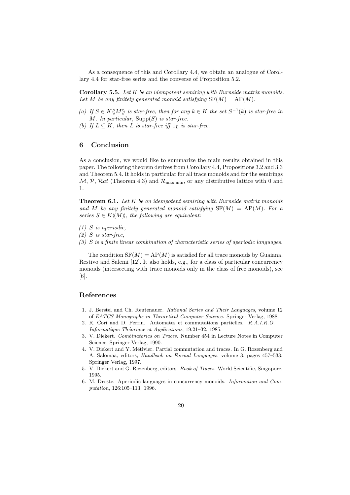As a consequence of this and Corollary 4.4, we obtain an analogue of Corollary 4.4 for star-free series and the converse of Proposition 5.2.

**Corollary 5.5.** Let  $K$  be an idempotent semiring with Burnside matrix monoids. Let M be any finitely generated monoid satisfying  $SF(M) = AP(M)$ .

- (a) If  $S \in K\langle M \rangle$  is star-free, then for any  $k \in K$  the set  $S^{-1}(k)$  is star-free in M. In particular,  $\text{Supp}(S)$  is star-free.
- (b) If  $L \subseteq K$ , then L is star-free iff  $1_L$  is star-free.

#### 6 Conclusion

As a conclusion, we would like to summarize the main results obtained in this paper. The following theorem derives from Corollary 4.4, Propositions 3.2 and 3.3 and Theorem 5.4. It holds in particular for all trace monoids and for the semirings  $\mathcal{M}, \mathcal{P}, \mathcal{R}at$  (Theorem 4.3) and  $\mathcal{R}_{\text{max,min}}$ , or any distributive lattice with 0 and 1.

**Theorem 6.1.** Let  $K$  be an idempotent semiring with Burnside matrix monoids and M be any finitely generated monoid satisfying  $SF(M) = AP(M)$ . For a series  $S \in K\langle\!\langle M \rangle\!\rangle$ , the following are equivalent:

- $(1)$  S is aperiodic,
- $(2)$  S is star-free,
- (3) S is a finite linear combination of characteristic series of aperiodic languages.

The condition  $SF(M) = AP(M)$  is satisfied for all trace monoids by Guaiana, Restivo and Salemi [12]. It also holds, e.g., for a class of particular concurrency monoids (intersecting with trace monoids only in the class of free monoids), see [6].

#### References

- 1. J. Berstel and Ch. Reutenauer. Rational Series and Their Languages, volume 12 of EATCS Monographs in Theoretical Computer Science. Springer Verlag, 1988.
- 2. R. Cori and D. Perrin. Automates et commutations partielles. R.A.I.R.O. Informatique Théorique et Applications, 19:21–32, 1985.
- 3. V. Diekert. Combinatorics on Traces. Number 454 in Lecture Notes in Computer Science. Springer Verlag, 1990.
- 4. V. Diekert and Y. Métivier. Partial commutation and traces. In G. Rozenberg and A. Salomaa, editors, Handbook on Formal Languages, volume 3, pages 457–533. Springer Verlag, 1997.
- 5. V. Diekert and G. Rozenberg, editors. Book of Traces. World Scientific, Singapore, 1995.
- 6. M. Droste. Aperiodic languages in concurrency monoids. Information and Computation, 126:105–113, 1996.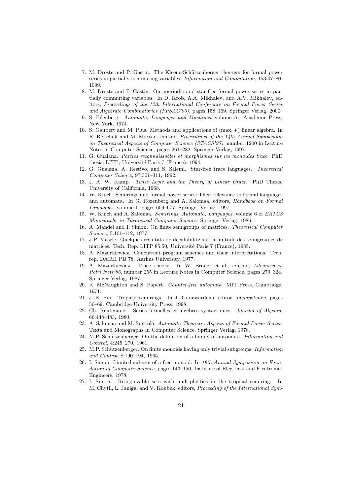- 7. M. Droste and P. Gastin. The Kleene-Schützenberger theorem for formal power series in partially commuting variables. Information and Computation, 153:47–80, 1999.
- 8. M. Droste and P. Gastin. On aperiodic and star-free formal power series in partially commuting variables. In D. Krob, A.A. Mikhalev, and A.V. Mikhalev, editors, Proceedings of the 12th International Conference on Formal Power Series and Algebraic Combinatorics (FPSAC'00), pages 158–169. Springer Verlag, 2000.
- 9. S. Eilenberg. Automata, Languages and Machines, volume A. Academic Press, New York, 1974.
- 10. S. Gaubert and M. Plus. Methods and applications of (max, +) linear algebra. In R. Reischuk and M. Morvan, editors, Proceedings of the 14th Annual Symposium on Theoretical Aspects of Computer Science (STACS'97), number 1200 in Lecture Notes in Computer Science, pages 261–282. Springer Verlag, 1997.
- 11. G. Guaiana. Parties reconnaissables et morphismes sur les monoïdes trace. PhD thesis, LITP, Université Paris 7 (France), 1994.
- 12. G. Guaiana, A. Restivo, and S. Salemi. Star-free trace languages. Theoretical Computer Science, 97:301–311, 1992.
- 13. J. A. W. Kamp. Tense Logic and the Theory of Linear Order. PhD Thesis, University of California, 1968.
- 14. W. Kuich. Semirings and formal power series: Their relevance to formal languages and automata. In G. Rozenberg and A. Salomaa, editors, Handbook on Formal Languages, volume 1, pages 609–677. Springer Verlag, 1997.
- 15. W. Kuich and A. Salomaa. Semirings, Automata, Languages, volume 6 of EATCS Monographs in Theoretical Computer Science. Springer Verlag, 1986.
- 16. A. Mandel and I. Simon. On finite semigroups of matrices. Theoretical Computer Science, 5:101–112, 1977.
- 17. J.P. Mascle. Quelques résultats de décidabilité sur la finitude des semigroupes de matrices. Tech. Rep. LITP 85.50, Université Paris 7 (France), 1985.
- 18. A. Mazurkiewicz. Concurrent program schemes and their interpretations. Tech. rep. DAIMI PB 78, Aarhus University, 1977.
- 19. A. Mazurkiewicz. Trace theory. In W. Brauer et al., editors, Advances in Petri Nets'86, number 255 in Lecture Notes in Computer Science, pages 279–324. Springer Verlag, 1987.
- 20. R. McNaughton and S. Papert. Counter-free automata. MIT Press, Cambridge, 1971.
- 21. J.-E. Pin. Tropical semirings. In J. Gunawardena, editor, Idempotency, pages 50–69. Cambridge University Press, 1998.
- 22. Ch. Reutenauer. Séries formelles et algèbres syntactiques. Journal of Algebra, 66:448–483, 1980.
- 23. A. Salomaa and M. Soittola. Automata-Theoretic Aspects of Formal Power Series. Texts and Monographs in Computer Science. Springer Verlag, 1978.
- 24. M.P. Schützenberger. On the definition of a family of automata. *Information and* Control, 4:245–270, 1961.
- 25. M.P. Schützenberger. On finite monoids having only trivial subgroups. Information and Control, 8:190–194, 1965.
- 26. I. Simon. Limited subsets of a free monoid. In 19th Annual Symposium on Foundation of Computer Science, pages 143–150. Institute of Electrical and Electronics Engineers, 1978.
- 27. I. Simon. Recognizable sets with multiplicities in the tropical semiring. In M. Chytil, L. Janiga, and V. Koubek, editors, Proceeding of the International Sym-